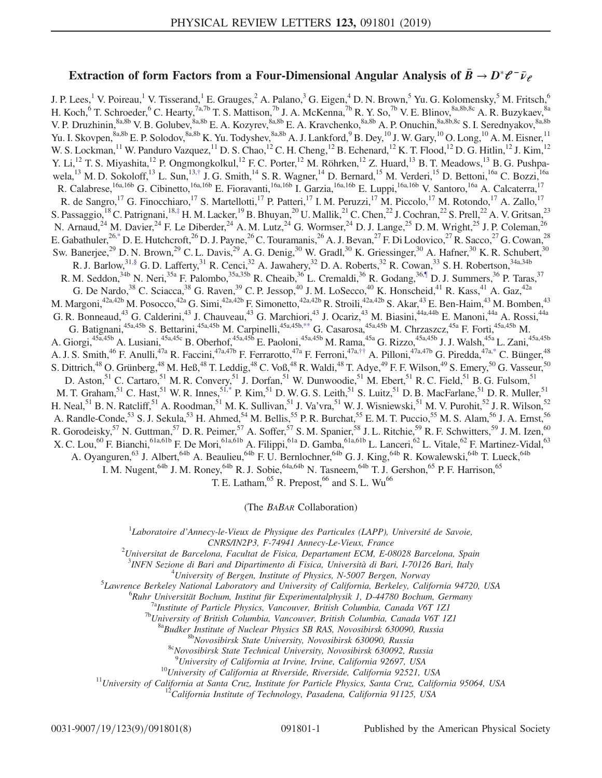## Extraction of form Factors from a Four-Dimensional Angular Analysis of  $\bar{B} \to D^* \ell^- \bar{\nu}_e$

<span id="page-0-4"></span><span id="page-0-3"></span><span id="page-0-2"></span><span id="page-0-1"></span>J. P. Lees,<sup>1</sup> V. Poireau,<sup>1</sup> V. Tisserand,<sup>1</sup> E. Grauges,<sup>2</sup> A. Palano,<sup>3</sup> G. Eigen,<sup>4</sup> D. N. Brown,<sup>5</sup> Yu. G. Kolomensky,<sup>5</sup> M. Fritsch,<sup>6</sup> H. Koch, $^6$  T. Schroeder, $^6$  C. Hearty,  $^{7a,7b}$  T. S. Mattison,  $^{7b}$  J. A. McKenna,  $^{7b}$  R. Y. So,  $^{7b}$  V. E. Blinov,  $^{8a,8b,8c}$  A. R. Buzykaev,  $^{8a}$ V. P. Druzhinin,<sup>8a,8b</sup> V. B. Golubev,<sup>8a,8b</sup> E. A. Kozyrev,<sup>8a,8b</sup> E. A. Kravchenko,<sup>8a,8b</sup> A. P. Onuchin,<sup>8a,8b,8c</sup> S. I. Serednyakov,<sup>8a,8b</sup> Yu. I. Skovpen,  $8a,8b$  E. P. Solodov,  $8a,8b$  K. Yu. Todyshev,  $8a,8b$  A. J. Lankford,  $9B$ . Dey,  $^{10}$  J. W. Gary,  $^{10}$  O. Long,  $^{10}$  A. M. Eisner,  $^{11}$ W. S. Lockman, <sup>11</sup> W. Panduro Vazquez, <sup>11</sup> D. S. Chao, <sup>12</sup> C. H. Cheng, <sup>12</sup> B. Echenard, <sup>12</sup> K. T. Flood, <sup>12</sup> D. G. Hitlin, <sup>12</sup> J. Kim, <sup>12</sup> Y. Li,<sup>12</sup> T. S. Miyashita,<sup>12</sup> P. Ongmongkolkul,<sup>12</sup> F. C. Porter,<sup>12</sup> M. Röhrken,<sup>12</sup> Z. Huard,<sup>13</sup> B. T. Meadows,<sup>13</sup> B. G. Pushpa-wela,<sup>13</sup> M. D. Sokoloff,<sup>13</sup> L. Sun,<sup>13,[†](#page-6-0)</sup> J. G. Smith,<sup>14</sup> S. R. Wagner,<sup>14</sup> D. Bernard,<sup>15</sup> M. Verderi,<sup>15</sup> D. Bettoni,<sup>16a</sup> C. Bozzi,<sup>16a</sup> R. Calabrese,<sup>16a,16b</sup> G. Cibinetto,<sup>16a,16b</sup> E. Fioravanti,<sup>16a,16b</sup> I. Garzia,<sup>16a,16b</sup> E. Luppi,<sup>16a,16b</sup> V. Santoro,<sup>16a</sup> A. Calcaterra,<sup>17</sup> R. de Sangro,<sup>17</sup> G. Finocchiaro,<sup>17</sup> S. Martellotti,<sup>17</sup> P. Patteri,<sup>17</sup> I. M. Peruzzi,<sup>17</sup> M. Piccolo,<sup>17</sup> M. Rotondo,<sup>17</sup> A. Zallo,<sup>17</sup> S. Passaggio,<sup>18</sup> C. Patrignani,<sup>18,[‡](#page-6-1)</sup> H. M. Lacker,<sup>19</sup> B. Bhuyan,<sup>20</sup> U. Mallik,<sup>21</sup> C. Chen,<sup>22</sup> J. Cochran,<sup>22</sup> S. Prell,<sup>22</sup> A. V. Gritsan,<sup>23</sup> N. Arnaud,<sup>24</sup> M. Davier,<sup>24</sup> F. Le Diberder,<sup>24</sup> A. M. Lutz,<sup>24</sup> G. Wormser,<sup>24</sup> D. J. Lange,<sup>25</sup> D. M. Wright,<sup>25</sup> J. P. Coleman,<sup>26</sup> E. Gabathuler,  $^{26,*}$  $^{26,*}$  $^{26,*}$  D. E. Hutchcroft,  $^{26}$  D. J. Payne,  $^{26}$  C. Touramanis,  $^{26}$  A. J. Bevan,  $^{27}$  F. Di Lodovico,  $^{27}$  R. Sacco,  $^{27}$  G. Cowan,  $^{28}$ Sw. Banerjee,<sup>29</sup> D. N. Brown,<sup>29</sup> C. L. Davis,<sup>29</sup> A. G. Denig,<sup>30</sup> W. Gradl,<sup>30</sup> K. Griessinger,<sup>30</sup> A. Hafner,<sup>30</sup> K. R. Schubert,<sup>30</sup> R. J. Barlow,  $31,$ § G. D. Lafferty,  $31$  R. Cenci,  $32$  A. Jawahery,  $32$  D. A. Roberts,  $32$  R. Cowan,  $33$  S. H. Robertson,  $34a,34b$ R. M. Seddon,<sup>34b</sup> N. Neri,<sup>35a</sup> F. Palombo,<sup>35a,35b</sup> R. Cheaib,<sup>36</sup> L. Cremaldi,<sup>36</sup> R. Godang,<sup>3[6,¶](#page-6-4)</sup> D. J. Summers,<sup>36</sup> P. Taras,<sup>37</sup> G. De Nardo,<sup>38</sup> C. Sciacca,<sup>38</sup> G. Raven,<sup>39</sup> C. P. Jessop,<sup>40</sup> J. M. LoSecco,<sup>40</sup> K. Honscheid,<sup>41</sup> R. Kass,<sup>41</sup> A. Gaz,<sup>42a</sup> M. Margoni, $^{42a,42b}$  M. Posocco, $^{42a}$  G. Simi, $^{42a,42b}$  F. Simonetto, $^{42a,42b}$  R. Stroili, $^{42a,42b}$  S. Akar, $^{43}$  E. Ben-Haim, $^{43}$  M. Bomben, $^{43}$ G. R. Bonneaud,<sup>43</sup> G. Calderini,<sup>43</sup> J. Chauveau,<sup>43</sup> G. Marchiori,<sup>43</sup> J. Ocariz,<sup>43</sup> M. Biasini,<sup>44a,44b</sup> E. Manoni,<sup>44a</sup> A. Rossi,<sup>44a</sup> G. Batignani,<sup>45a,45b</sup> S. Bettarini,<sup>45a,45b</sup> M. Carpinelli,<sup>45a,45b[,\\*\\*](#page-6-5)</sup> G. Casarosa,<sup>45a,45b</sup> M. Chrzaszcz,<sup>45a</sup> F. Forti,<sup>45a,45b</sup> M. A. Giorgi,<sup>45a,45b</sup> A. Lusiani,<sup>45a,45c</sup> B. Oberhof,<sup>45a,45b</sup> E. Paoloni,<sup>45a,45b</sup> M. Rama,<sup>45a</sup> G. Rizzo,<sup>45a,45b</sup> J. J. Walsh,<sup>45a</sup> L. Zani,<sup>45a,45b</sup> A. J. S. Smith,<sup>46</sup> F. Anulli,<sup>47a</sup> R. Faccini,<sup>47a,47b</sup> F. Ferrarotto,<sup>47a</sup> F. Ferroni,<sup>47a,[††](#page-6-6)</sup> A. Pilloni,<sup>47a,47b</sup> G. Piredda,<sup>47a[,\\*](#page-6-2)</sup> C. Bünger,<sup>48</sup> S. Dittrich,<sup>48</sup> O. Grünberg,<sup>48</sup> M. Heß,<sup>48</sup> T. Leddig,<sup>48</sup> C. Voß,<sup>48</sup> R. Waldi,<sup>48</sup> T. Adye,<sup>49</sup> F. F. Wilson,<sup>49</sup> S. Emery,<sup>50</sup> G. Vasseur,<sup>50</sup> D. Aston,<sup>51</sup> C. Cartaro,<sup>51</sup> M. R. Convery,<sup>51</sup> J. Dorfan,<sup>51</sup> W. Dunwoodie,<sup>51</sup> M. Ebert,<sup>51</sup> R. C. Field,<sup>51</sup> B. G. Fulsom,<sup>51</sup> M. T. Graham,  $^{51}$  C. Hast,  $^{51}$  W. R. Innes,  $^{51,*}$  $^{51,*}$  $^{51,*}$  P. Kim,  $^{51}$  D. W. G. S. Leith,  $^{51}$  S. Luitz,  $^{51}$  D. B. MacFarlane,  $^{51}$  D. R. Muller,  $^{51}$ H. Neal,<sup>51</sup> B. N. Ratcliff,<sup>51</sup> A. Roodman,<sup>51</sup> M. K. Sullivan,<sup>51</sup> J. Va'vra,<sup>51</sup> W. J. Wisniewski,<sup>51</sup> M. V. Purohit,<sup>52</sup> J. R. Wilson,<sup>52</sup> A. Randle-Conde,<sup>53</sup> S. J. Sekula,<sup>53</sup> H. Ahmed,<sup>54</sup> M. Bellis,<sup>55</sup> P. R. Burchat,<sup>55</sup> E. M. T. Puccio,<sup>55</sup> M. S. Alam,<sup>56</sup> J. A. Ernst,<sup>56</sup> R. Gorodeisky,<sup>57</sup> N. Guttman,<sup>57</sup> D. R. Peimer,<sup>57</sup> A. Soffer,<sup>57</sup> S. M. Spanier,<sup>58</sup> J. L. Ritchie,<sup>59</sup> R. F. Schwitters,<sup>59</sup> J. M. Izen,<sup>60</sup> X. C. Lou,<sup>60</sup> F. Bianchi,<sup>61a,61b</sup> F. De Mori,<sup>61a,61b</sup> A. Filippi,<sup>61a</sup> D. Gamba,<sup>61a,61b</sup> L. Lanceri,<sup>62</sup> L. Vitale,<sup>62</sup> F. Martinez-Vidal,<sup>63</sup> A. Oyanguren,<sup>63</sup> J. Albert,<sup>64b</sup> A. Beaulieu,<sup>64b</sup> F. U. Bernlochner,<sup>64b</sup> G. J. King,<sup>64b</sup> R. Kowalewski,<sup>64b</sup> T. Lueck,<sup>64b</sup> I. M. Nugent, <sup>64b</sup> J. M. Roney, <sup>64b</sup> R. J. Sobie, <sup>64a, 64b</sup> N. Tasneem, <sup>64b</sup> T. J. Gershon, <sup>65</sup> P. F. Harrison, <sup>65</sup>

<span id="page-0-5"></span>T. E. Latham,  $^{65}$  R. Prepost,  $^{66}$  and S. L. Wu $^{66}$ 

(The BABAR Collaboration)

<span id="page-0-6"></span><span id="page-0-0"></span> ${}^{1}$ Laboratoire d'Annecy-le-Vieux de Physique des Particules (LAPP), Université de Savoie,

CNRS/IN2P3, F-74941 Annecy-Le-Vieux, France<br><sup>2</sup>Universitat de Barcelona, Facultat de Fisica, Departament ECM, E-08028 Barcelona, Spain<sup>2</sup>

<sup>3</sup>INFN Sezione di Bari and Dipartimento di Fisica, Università di Bari, I-70126 Bari, Italy  $^{4}$ Ilniversity of Bargan, Institute of Bhysics, N 5007 Bargan, Norway

 $^{4}$ University of Bergen, Institute of Physics, N-5007 Bergen, Norway

<sup>5</sup> Lawrence Berkeley National Laboratory and University of California, Berkeley, California 94720, USA <sup>6</sup> Ruhr Universität Bochum, Institut für Experimentalphysik 1, D-44780 Bochum, Germany

<sup>7a</sup>Institute of Particle Physics, Vancouver, British Columbia, Canada V6T 1Z1<br><sup>7b</sup>University of British Columbia, Vancouver, British Columbia, Canada V6T 1Z1<br><sup>8a</sup>Budker Institute of Nuclear Physics SB RAS, Novosibirsk 63

<sup>9</sup>University of California at Irvine, Irvine, California 92697, USA

<sup>10</sup>University of California at Riverside, Riverside, California 92521, USA<br><sup>11</sup>University of California at Santa Cruz, Institute for Particle Physics, Santa Cruz, California 95064, USA<br><sup>12</sup>California Institute of Technol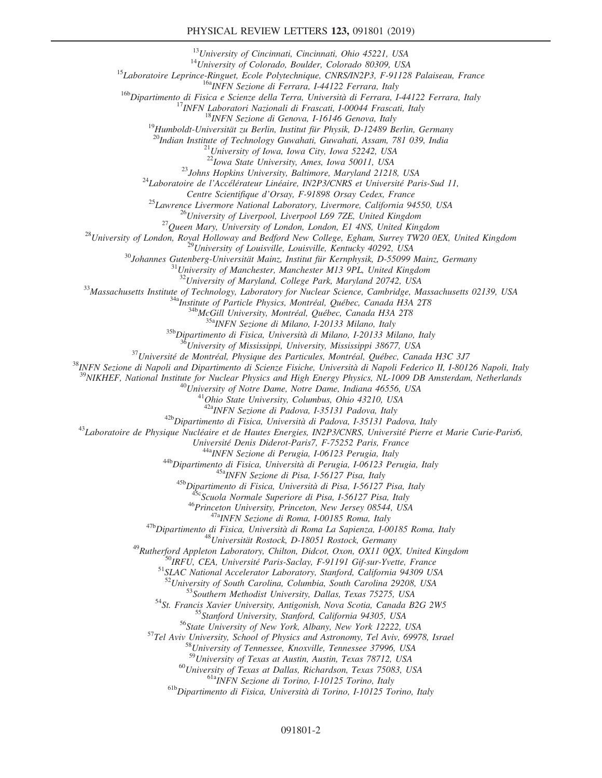<sup>13</sup>University of Cincinnati, Cincinnati, Ohio 45221, USA<br><sup>14</sup>University of Colorado, Boulder, Colorado 80309, USA<br><sup>15</sup>Laboratoire Leprince-Ringuet, Ecole Polytechnique, CNRS/IN2P3, F-91128 Palaiseau, France<br><sup>16a</sup>INFN Sez

<sup>20</sup>Indian Institute of Technology Guwahati, Guwahati, Assam, 781 039, India <sup>21</sup>University of Iowa, Iowa City, Iowa 52242, USA <sup>22</sup>Iowa State University, Ames, Iowa 50011, USA

<sup>23</sup>Johns Hopkins University, Baltimore, Maryland 21218, USA<br><sup>24</sup>Laboratoire de l'Accélérateur Linéaire, IN2P3/CNRS et Université Paris-Sud 11,

Centre Scientifique d'Orsay, F-91898 Orsay Cedex, France<br>
<sup>25</sup> Lawrence Livermore National Laboratory, Livermore, California 94550, USA<br>
<sup>26</sup> University of Liverpool, Liverpool L69 7ZE, United Kingdom<br>
<sup>27</sup> Queen Mary, Un

 $^{33}$ Massachusetts Institute of Technology, Laboratory for Nuclear Science, Cambridge, Massachusetts 02139, USA<br>  $^{34}$ Massachusetts Institute of Technology, Laboratory for Nuclear Science, Cambridge, Massachusetts 02139

<sup>41</sup>Ohio State University, Columbus, Ohio 43210, USA<br><sup>42b</sup>Dipartimento di Fisica, Università di Padova, I-35131 Padova, Italy<br><sup>43</sup>Laboratoire de Physique Nucléaire et de Hautes Energies, IN2P3/CNRS, Université Pierre et M

Université Denis Diderot-Paris7, F-75252 Paris, France<br>  $^{448}NFN$  Sezione di Perugia, 1-06123 Perugia, Italy<br>  $^{448}Dipartimento$  di Fisica, Università di Perugia, 1-06123 Perugia, Italy<br>  $^{458}Dipartimento$  di Fisica, Università di Pisa

<sup>51</sup>SLAC National Accelerator Laboratory, Stanford, California 94309 USA<br><sup>52</sup>University of South Carolina, Columbia, South Carolina 29208, USA<br><sup>53</sup>Southern Methodist University, Dallas, Texas 75275, USA<br><sup>54</sup>St. Francis Xa

<sup>60</sup>University of Texas at Dallas, Richardson, Texas 75083, USA<br><sup>61a</sup>INFN Sezione di Torino, I-10125 Torino, Italy<br><sup>61b</sup>Dipartimento di Fisica, Università di Torino, I-10125 Torino, Italy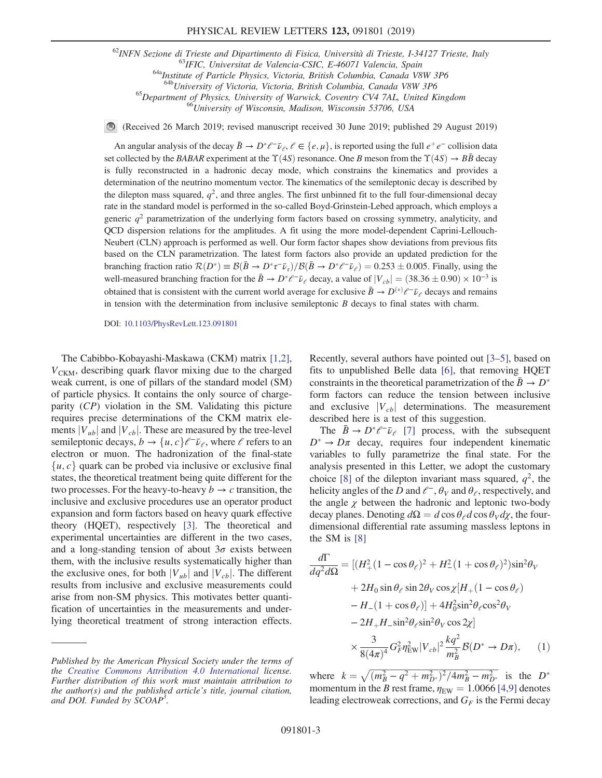<sup>62</sup>INFN Sezione di Trieste and Dipartimento di Fisica, Università di Trieste, I-34127 Trieste, Italy<br><sup>63</sup>IFIC, Universitat de Valencia-CSIC, E-46071 Valencia, Spain<br><sup>64a</sup>Institute of Particle Physics, Victoria, British C

<sup>65</sup>Department of Physics, University of Warwick, Coventry CV4 7AL, United Kingdom <sup>66</sup>University of Wisconsin, Madison, Wisconsin 53706, USA

(Received 26 March 2019; revised manuscript received 30 June 2019; published 29 August 2019)  $\bigcirc$ 

An angular analysis of the decay  $\bar{B}\to D^*\ell^-\bar{\nu}_\ell$ ,  $\ell\in\{e,\mu\}$ , is reported using the full  $e^+e^-$  collision data set collected by the BABAR experiment at the  $\Upsilon(4S)$  resonance. One B meson from the  $\Upsilon(4S) \rightarrow B\bar{B}$  decay is fully reconstructed in a hadronic decay mode, which constrains the kinematics and provides a determination of the neutrino momentum vector. The kinematics of the semileptonic decay is described by the dilepton mass squared,  $q^2$ , and three angles. The first unbinned fit to the full four-dimensional decay rate in the standard model is performed in the so-called Boyd-Grinstein-Lebed approach, which employs a generic  $q<sup>2</sup>$  parametrization of the underlying form factors based on crossing symmetry, analyticity, and QCD dispersion relations for the amplitudes. A fit using the more model-dependent Caprini-Lellouch-Neubert (CLN) approach is performed as well. Our form factor shapes show deviations from previous fits based on the CLN parametrization. The latest form factors also provide an updated prediction for the branching fraction ratio  $\mathcal{R}(D^*) \equiv \mathcal{B}(\bar{B} \to D^* \tau^- \bar{\nu}_{\tau})/\mathcal{B}(\bar{B} \to D^* \ell^- \bar{\nu}_{\ell}) = 0.253 \pm 0.005$ . Finally, using the well-measured branching fraction for the  $\bar{B} \to D^* \ell^- \bar{\nu}_\ell$  decay, a value of  $|V_{cb}| = (38.36 \pm 0.90) \times 10^{-3}$  is obtained that is consistent with the current world average for exclusive  $\bar{B} \to D^{(*)} \ell^- \bar{\nu}_\ell$  decays and remains in tension with the determination from inclusive semileptonic  $B$  decays to final states with charm.

DOI: [10.1103/PhysRevLett.123.091801](https://doi.org/10.1103/PhysRevLett.123.091801)

The Cabibbo-Kobayashi-Maskawa (CKM) matrix [\[1,2\]](#page-6-7),  $V_{CKM}$ , describing quark flavor mixing due to the charged weak current, is one of pillars of the standard model (SM) of particle physics. It contains the only source of chargeparity (CP) violation in the SM. Validating this picture requires precise determinations of the CKM matrix elements  $|V_{ub}|$  and  $|V_{cb}|$ . These are measured by the tree-level semileptonic decays,  $b \rightarrow \{u, c\}e^{-\bar{\nu}_e}$ , where  $e$  refers to an electron or muon. The hadronization of the final-state  $\{u, c\}$  quark can be probed via inclusive or exclusive final states, the theoretical treatment being quite different for the two processes. For the heavy-to-heavy  $b \to c$  transition, the inclusive and exclusive procedures use an operator product expansion and form factors based on heavy quark effective theory (HQET), respectively [\[3\]](#page-6-8). The theoretical and experimental uncertainties are different in the two cases, and a long-standing tension of about  $3\sigma$  exists between them, with the inclusive results systematically higher than the exclusive ones, for both  $|V_{ub}|$  and  $|V_{cb}|$ . The different results from inclusive and exclusive measurements could arise from non-SM physics. This motivates better quantification of uncertainties in the measurements and underlying theoretical treatment of strong interaction effects. Recently, several authors have pointed out [\[3](#page-6-8)–5], based on fits to unpublished Belle data [\[6\],](#page-6-9) that removing HQET constraints in the theoretical parametrization of the  $\bar{B} \rightarrow D^*$ form factors can reduce the tension between inclusive and exclusive  $|V_{cb}|$  determinations. The measurement described here is a test of this suggestion.

The  $B \to D^* \ell^- \bar{\nu}_\ell$  [\[7\]](#page-6-10) process, with the subsequent  $D^* \rightarrow D\pi$  decay, requires four independent kinematic variables to fully parametrize the final state. For the analysis presented in this Letter, we adopt the customary choice [\[8\]](#page-6-11) of the dilepton invariant mass squared,  $q^2$ , the helicity angles of the D and  $\ell^-$ ,  $\theta_V$  and  $\theta_{\ell}$ , respectively, and the angle  $\chi$  between the hadronic and leptonic two-body decay planes. Denoting  $d\Omega = d\cos\theta_d d\cos\theta_v d\chi$ , the fourdimensional differential rate assuming massless leptons in the SM is [\[8\]](#page-6-11)

<span id="page-2-0"></span>
$$
\frac{d\Gamma}{dq^2 d\Omega} = \left[ (H_+^2 (1 - \cos \theta_\ell)^2 + H_-^2 (1 + \cos \theta_\ell)^2) \sin^2 \theta_V \right. \\
\left. + 2H_0 \sin \theta_\ell \sin 2\theta_V \cos \chi [H_+ (1 - \cos \theta_\ell) - H_- (1 + \cos \theta_\ell)] + 4H_0^2 \sin^2 \theta_\ell \cos^2 \theta_V \\
\left. - 2H_+ H_- \sin^2 \theta_\ell \sin^2 \theta_V \cos 2\chi \right] \\
\times \frac{3}{8(4\pi)^4} G_F^2 \eta_{\rm EW}^2 |V_{cb}|^2 \frac{kq^2}{m_B^2} \mathcal{B}(D^* \to D\pi), \qquad (1)
$$

where  $k = \sqrt{(m_B^2 - q^2 + m_{D^*}^2)^2/4m_B^2 - m_{D^*}^2}$  is the  $D^*$ <br>momentum in the *B* rest frame  $n_{\text{max}} = 1.0066$  [4.9] denotes momentum in the B rest frame,  $\eta_{EW} = 1.0066$  [\[4,9\]](#page-6-12) denotes leading electroweak corrections, and  $G_F$  is the Fermi decay

Published by the American Physical Society under the terms of the [Creative Commons Attribution 4.0 International](https://creativecommons.org/licenses/by/4.0/) license. Further distribution of this work must maintain attribution to the author(s) and the published article's title, journal citation, and DOI. Funded by SCOAP<sup>3</sup>.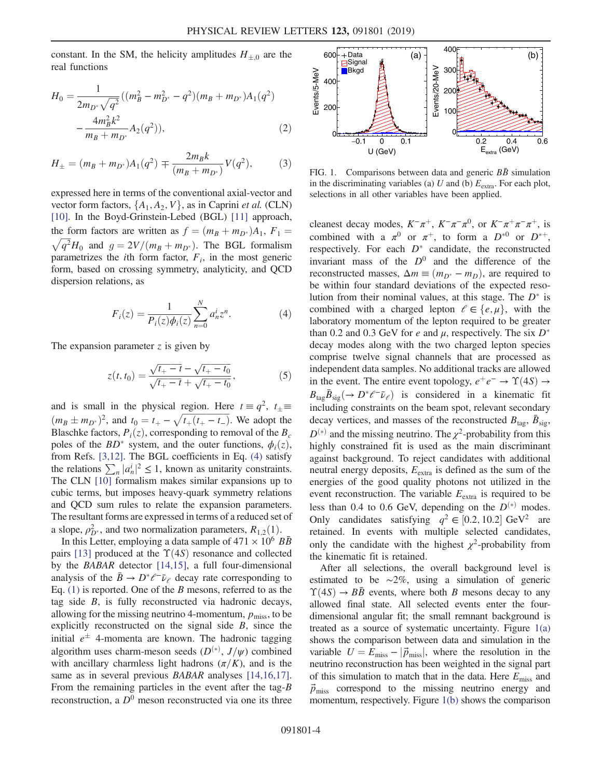constant. In the SM, the helicity amplitudes  $H_{\pm,0}$  are the real functions

$$
H_0 = \frac{1}{2m_{D^*}\sqrt{q^2}}((m_B^2 - m_{D^*}^2 - q^2)(m_B + m_{D^*})A_1(q^2) - \frac{4m_B^2k^2}{m_B + m_{D^*}}A_2(q^2)),
$$
\n(2)

$$
H_{\pm} = (m_B + m_{D^*})A_1(q^2) \mp \frac{2m_B k}{(m_B + m_{D^*})}V(q^2),\tag{3}
$$

expressed here in terms of the conventional axial-vector and vector form factors,  $\{A_1, A_2, V\}$ , as in Caprini *et al.* (CLN) [\[10\]](#page-6-13). In the Boyd-Grinstein-Lebed (BGL) [\[11\]](#page-6-14) approach, the form factors are written as  $f = (m_B + m_{D^*})A_1$ ,  $F_1 =$  $\sqrt{q^2H_0}$  and  $g = 2V/(m_B + m_{D^*})$ . The BGL formalism parametrizes the *i*th form factor,  $F_i$ , in the most generic form, based on crossing symmetry, analyticity, and QCD dispersion relations, as

<span id="page-3-0"></span>
$$
F_i(z) = \frac{1}{P_i(z)\phi_i(z)} \sum_{n=0}^{N} a_n^i z^n.
$$
 (4)

The expansion parameter  $z$  is given by

$$
z(t, t_0) = \frac{\sqrt{t_+ - t} - \sqrt{t_+ - t_0}}{\sqrt{t_+ - t} + \sqrt{t_+ - t_0}},
$$
\n(5)

and is small in the physical region. Here  $t \equiv q^2$ ,  $t_{\pm} \equiv$  $(m_B \pm m_{D^*})^2$ , and  $t_0 = t_+ - \sqrt{t_+(t_+ - t_-)}$ . We adopt the R also the factors  $P_-(z)$  corresponding to removal of the R Blaschke factors,  $P_i(z)$ , corresponding to removal of the  $B_c$ poles of the  $BD^*$  system, and the outer functions,  $\phi_i(z)$ , from Refs. [\[3,12\]](#page-6-8). The BGL coefficients in Eq. [\(4\)](#page-3-0) satisfy the relations  $\sum_{n} |a_n^i|^2 \leq 1$ , known as unitarity constraints.<br>The CLN [10] formalism makes similar expansions un to the relations  $\sum_{n} |a_n| \leq 1$ , known as unitarity constraints.<br>The CLN [\[10\]](#page-6-13) formalism makes similar expansions up to cubic terms, but imposes heavy-quark symmetry relations and QCD sum rules to relate the expansion parameters. The resultant forms are expressed in terms of a reduced set of a slope,  $\rho_{D^*}^2$ , and two normalization parameters,  $R_{1,2}(1)$ .<br>In this Letter employing a data sample of  $471 \times 10^6$  J

In this Letter, employing a data sample of  $471 \times 10^6$  BB pairs [\[13\]](#page-6-15) produced at the  $\Upsilon(4S)$  resonance and collected by the BABAR detector [\[14,15\],](#page-6-16) a full four-dimensional analysis of the  $\bar{B} \to D^* \ell^- \bar{\nu}_{\ell}$  decay rate corresponding to Eq.  $(1)$  is reported. One of the B mesons, referred to as the tag side  $B$ , is fully reconstructed via hadronic decays, allowing for the missing neutrino 4-momentum,  $p_{\text{miss}}$ , to be explicitly reconstructed on the signal side  $B$ , since the initial  $e^{\pm}$  4-momenta are known. The hadronic tagging algorithm uses charm-meson seeds  $(D^{(*)}, J/\psi)$  combined with ancillary charmless light hadrons  $(\pi/K)$ , and is the same as in several previous *BABAR* analyses [\[14,16,17\]](#page-6-16). From the remaining particles in the event after the tag- $B$ reconstruction, a  $D^0$  meson reconstructed via one its three

<span id="page-3-1"></span>

FIG. 1. Comparisons between data and generic  $B\bar{B}$  simulation in the discriminating variables (a)  $U$  and (b)  $E_{\text{extra}}$ . For each plot, selections in all other variables have been applied.

cleanest decay modes,  $K^-\pi^+$ ,  $K^-\pi^-\pi^0$ , or  $K^-\pi^+\pi^-\pi^+$ , is combined with a  $\pi^0$  or  $\pi^+$ , to form a  $D^{*0}$  or  $D^{*+}$ , respectively. For each  $D^*$  candidate, the reconstructed invariant mass of the  $D^0$  and the difference of the reconstructed masses,  $\Delta m \equiv (m_{D^*} - m_D)$ , are required to be within four standard deviations of the expected resolution from their nominal values, at this stage. The  $D^*$  is combined with a charged lepton  $l \in \{e, \mu\}$ , with the laboratory momentum of the lepton required to be greater than 0.2 and 0.3 GeV for e and  $\mu$ , respectively. The six  $D^*$ decay modes along with the two charged lepton species comprise twelve signal channels that are processed as independent data samples. No additional tracks are allowed in the event. The entire event topology,  $e^+e^- \rightarrow \Upsilon(4S) \rightarrow$  $B_{\text{tag}}\bar{B}_{\text{sig}}(\to D^*\ell^-\bar{\nu}_\ell)$  is considered in a kinematic fit including constraints on the beam spot, relevant secondary decay vertices, and masses of the reconstructed  $B_{\text{tag}}$ ,  $\bar{B}_{\text{sig}}$ ,  $D^{(*)}$  and the missing neutrino. The  $\chi^2$ -probability from this highly constrained fit is used as the main discriminant against background. To reject candidates with additional neutral energy deposits,  $E_{\text{extra}}$  is defined as the sum of the energies of the good quality photons not utilized in the event reconstruction. The variable  $E_{\text{extra}}$  is required to be less than 0.4 to 0.6 GeV, depending on the  $D^{(*)}$  modes. Only candidates satisfying  $q^2 \in [0.2, 10.2]$  GeV<sup>2</sup> are retained. In events with multiple selected candidates, only the candidate with the highest  $\chi^2$ -probability from the kinematic fit is retained.

After all selections, the overall background level is estimated to be ∼2%, using a simulation of generic  $\Upsilon(4S) \rightarrow B\bar{B}$  events, where both B mesons decay to any allowed final state. All selected events enter the fourdimensional angular fit; the small remnant background is treated as a source of systematic uncertainty. Figure  $1(a)$ shows the comparison between data and simulation in the variable  $U = E_{\text{miss}} - |\vec{p}_{\text{miss}}|$ , where the resolution in the neutrino reconstruction has been weighted in the signal part of this simulation to match that in the data. Here  $E_{\rm miss}$  and  $\vec{p}_{\text{miss}}$  correspond to the missing neutrino energy and momentum, respectively. Figure [1\(b\)](#page-3-1) shows the comparison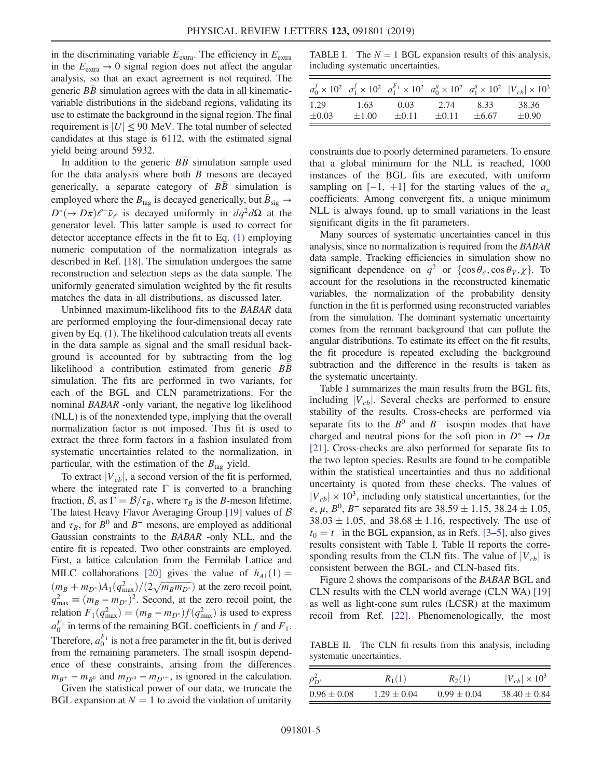in the discriminating variable  $E_{\text{extra}}$ . The efficiency in  $E_{\text{extra}}$ in the  $E_{\text{extra}} \rightarrow 0$  signal region does not affect the angular analysis, so that an exact agreement is not required. The generic  $B\bar{B}$  simulation agrees with the data in all kinematicvariable distributions in the sideband regions, validating its use to estimate the background in the signal region. The final requirement is  $|U| \leq 90$  MeV. The total number of selected candidates at this stage is 6112, with the estimated signal yield being around 5932.

In addition to the generic  $BB$  simulation sample used for the data analysis where both  $B$  mesons are decayed generically, a separate category of  $B\bar{B}$  simulation is employed where the  $B_{\text{tag}}$  is decayed generically, but  $\bar{B}_{\text{sig}} \rightarrow$  $D^*(-\to D\pi)\ell^-\bar{\nu}_\ell$  is decayed uniformly in  $dq^2d\Omega$  at the generator level. This latter sample is used to correct for detector acceptance effects in the fit to Eq. [\(1\)](#page-2-0) employing numeric computation of the normalization integrals as described in Ref. [\[18\]](#page-6-17). The simulation undergoes the same reconstruction and selection steps as the data sample. The uniformly generated simulation weighted by the fit results matches the data in all distributions, as discussed later.

Unbinned maximum-likelihood fits to the BABAR data are performed employing the four-dimensional decay rate given by Eq. [\(1\)](#page-2-0). The likelihood calculation treats all events in the data sample as signal and the small residual background is accounted for by subtracting from the log likelihood a contribution estimated from generic  $B\bar{B}$ simulation. The fits are performed in two variants, for each of the BGL and CLN parametrizations. For the nominal BABAR -only variant, the negative log likelihood (NLL) is of the nonextended type, implying that the overall normalization factor is not imposed. This fit is used to extract the three form factors in a fashion insulated from systematic uncertainties related to the normalization, in particular, with the estimation of the  $B_{\text{tag}}$  yield.

To extract  $|V_{cb}|$ , a second version of the fit is performed, where the integrated rate  $\Gamma$  is converted to a branching fraction, B, as  $\Gamma = \frac{B}{\tau_B}$ , where  $\tau_B$  is the B-meson lifetime. The latest Heavy Flavor Averaging Group [\[19\]](#page-6-18) values of  $\beta$ and  $\tau_B$ , for  $B^0$  and  $B^-$  mesons, are employed as additional Gaussian constraints to the BABAR -only NLL, and the entire fit is repeated. Two other constraints are employed. First, a lattice calculation from the Fermilab Lattice and MILC collaborations [\[20\]](#page-6-19) gives the value of  $h_{A1}(1) =$  $\left(m_B + m_{D^*}\right)A_1\left(q_{\text{max}}^2\right)/(2\sqrt{m_B m_{D^*}})$  at the zero recoil point,<br> $a^2 = (m - m)^2$ . Second, at the zero recoil point, the  $q_{\text{max}}^2 \equiv (m_B - m_{D^*})^2$ . Second, at the zero recoil point, the relation  $F_1(a^2) - (m_A - m_{D^*}) f(a^2)$  is used to express relation  $F_1(q_{\text{max}}^2) = (m_B - m_{D^*}) f(q_{\text{max}}^2)$  is used to express  $a_{\text{min}}^F$  in tarms of the remaining BCI approximate in f and F  $a_0^{F_1}$  in terms of the remaining BGL coefficients in f and  $F_1$ . Therefore,  $a_0^{F_1}$  is not a free parameter in the fit, but is derived from the remaining parameters. The small isospin dependence of these constraints, arising from the differences  $m_{B^+} - m_{B^0}$  and  $m_{D^{*0}} - m_{D^{*+}}$ , is ignored in the calculation.

Given the statistical power of our data, we truncate the BGL expansion at  $N = 1$  to avoid the violation of unitarity

<span id="page-4-0"></span>TABLE I. The  $N = 1$  BGL expansion results of this analysis, including systematic uncertainties.

| 1.29<br>38.36<br>1.63<br>0.03<br>2.74<br>8.33<br>$\pm 0.90$<br>$\pm 0.03$<br>$+0.11$<br>$\pm 1.00$<br>$\pm 6.67$<br>$+0.11$ |  |  | $a_0^f \times 10^{2}$ $a_1^f \times 10^{2}$ $a_1^{F_1} \times 10^{2}$ $a_0^g \times 10^{2}$ $a_1^g \times 10^{2}$ $ V_{cb}  \times 10^{3}$ |
|-----------------------------------------------------------------------------------------------------------------------------|--|--|--------------------------------------------------------------------------------------------------------------------------------------------|
|                                                                                                                             |  |  |                                                                                                                                            |

constraints due to poorly determined parameters. To ensure that a global minimum for the NLL is reached, 1000 instances of the BGL fits are executed, with uniform sampling on  $[-1, +1]$  for the starting values of the  $a_n$ coefficients. Among convergent fits, a unique minimum NLL is always found, up to small variations in the least significant digits in the fit parameters.

Many sources of systematic uncertainties cancel in this analysis, since no normalization is required from the BABAR data sample. Tracking efficiencies in simulation show no significant dependence on  $q^2$  or  $\{\cos \theta_{\ell}, \cos \theta_{V}, \chi\}$ . To account for the resolutions in the reconstructed kinematic variables, the normalization of the probability density function in the fit is performed using reconstructed variables from the simulation. The dominant systematic uncertainty comes from the remnant background that can pollute the angular distributions. To estimate its effect on the fit results, the fit procedure is repeated excluding the background subtraction and the difference in the results is taken as the systematic uncertainty.

Table [I](#page-4-0) summarizes the main results from the BGL fits, including  $|V_{cb}|$ . Several checks are performed to ensure stability of the results. Cross-checks are performed via separate fits to the  $B^0$  and  $B^-$  isospin modes that have charged and neutral pions for the soft pion in  $D^* \to D\pi$ [\[21\]](#page-6-20). Cross-checks are also performed for separate fits to the two lepton species. Results are found to be compatible within the statistical uncertainties and thus no additional uncertainty is quoted from these checks. The values of  $|V_{cb}| \times 10^3$ , including only statistical uncertainties, for the e,  $\mu$ ,  $B^0$ ,  $B^-$  separated fits are 38.59  $\pm$  1.15, 38.24  $\pm$  1.05,  $38.03 \pm 1.05$ , and  $38.68 \pm 1.16$ , respectively. The use of  $t_0 = t_$  in the BGL expansion, as in Refs. [3–[5\],](#page-6-8) also gives results consistent with Table [I](#page-4-0). Table [II](#page-4-1) reports the corresponding results from the CLN fits. The value of  $|V_{cb}|$  is consistent between the BGL- and CLN-based fits.

Figure [2](#page-5-0) shows the comparisons of the BABAR BGL and CLN results with the CLN world average (CLN WA) [\[19\]](#page-6-18) as well as light-cone sum rules (LCSR) at the maximum recoil from Ref. [\[22\]](#page-6-21). Phenomenologically, the most

<span id="page-4-1"></span>TABLE II. The CLN fit results from this analysis, including systematic uncertainties.

| $\sigma_{\mathbf{\bar{D}^*}}$ | $R_1(1)$        | $R_2(1)$        | $ V_{ch}  \times 10^3$ |
|-------------------------------|-----------------|-----------------|------------------------|
| $0.96 \pm 0.08$               | $1.29 \pm 0.04$ | $0.99 \pm 0.04$ | $38.40 \pm 0.84$       |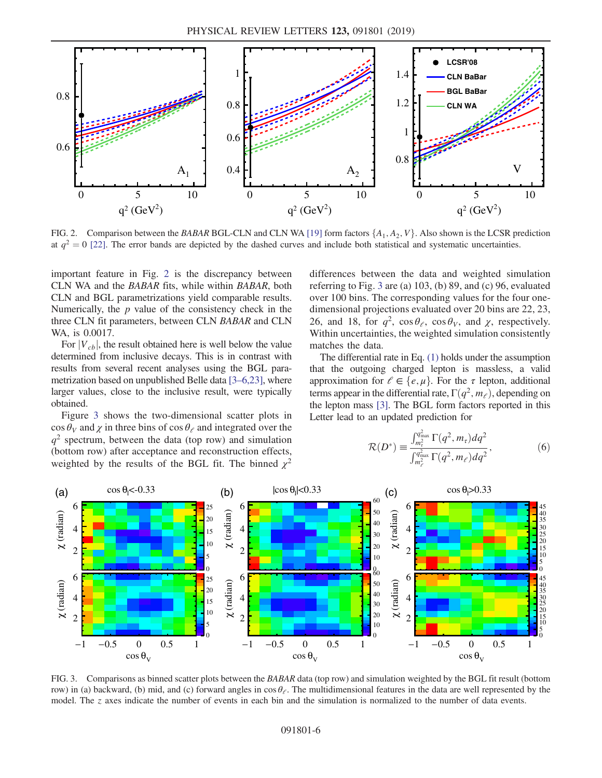<span id="page-5-0"></span>

FIG. 2. Comparison between the BABAR BGL-CLN and CLN WA [\[19\]](#page-6-18) form factors  $\{A_1, A_2, V\}$ . Also shown is the LCSR prediction at  $q^2 = 0$  [\[22\]](#page-6-21). The error bands are depicted by the dashed curves and include both statistical and systematic uncertainties.

important feature in Fig. [2](#page-5-0) is the discrepancy between CLN WA and the BABAR fits, while within BABAR, both CLN and BGL parametrizations yield comparable results. Numerically, the  $p$  value of the consistency check in the three CLN fit parameters, between CLN BABAR and CLN WA, is 0.0017.

For  $|V_{cb}|$ , the result obtained here is well below the value determined from inclusive decays. This is in contrast with results from several recent analyses using the BGL parametrization based on unpublished Belle data [3–[6,23\]](#page-6-8), where larger values, close to the inclusive result, were typically obtained.

Figure [3](#page-5-1) shows the two-dimensional scatter plots in  $\cos \theta_V$  and  $\chi$  in three bins of  $\cos \theta_\ell$  and integrated over the  $q^2$  spectrum, between the data (top row) and simulation (bottom row) after acceptance and reconstruction effects, weighted by the results of the BGL fit. The binned  $\chi^2$  differences between the data and weighted simulation referring to Fig. [3](#page-5-1) are (a) 103, (b) 89, and (c) 96, evaluated over 100 bins. The corresponding values for the four onedimensional projections evaluated over 20 bins are 22, 23, 26, and 18, for  $q^2$ ,  $\cos \theta_{\ell}$ ,  $\cos \theta_V$ , and  $\chi$ , respectively. Within uncertainties, the weighted simulation consistently matches the data.

The differential rate in Eq. [\(1\)](#page-2-0) holds under the assumption that the outgoing charged lepton is massless, a valid approximation for  $\ell \in \{e, \mu\}$ . For the  $\tau$  lepton, additional terms appear in the differential rate,  $\Gamma(q^2, m_\ell)$ , depending on the lepton mass [\[3\].](#page-6-8) The BGL form factors reported in this Letter lead to an updated prediction for

$$
\mathcal{R}(D^*) \equiv \frac{\int_{m_\tau}^{q_{\text{max}}^2} \Gamma(q^2, m_\tau) dq^2}{\int_{m_\ell^2}^{q_{\text{max}}^2} \Gamma(q^2, m_\ell) dq^2},
$$
(6)

<span id="page-5-1"></span>

FIG. 3. Comparisons as binned scatter plots between the BABAR data (top row) and simulation weighted by the BGL fit result (bottom row) in (a) backward, (b) mid, and (c) forward angles in  $\cos \theta_{\ell}$ . The multidimensional features in the data are well represented by the model. The z axes indicate the number of events in each bin and the simulation is normalized to the number of data events.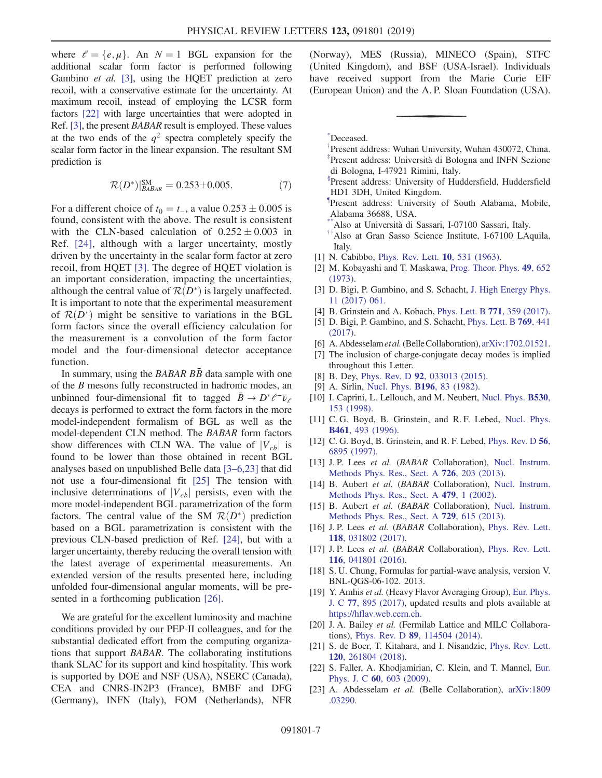where  $l = \{e, \mu\}$ . An  $N = 1$  BGL expansion for the additional scalar form factor is performed following Gambino et al. [\[3\]](#page-6-8), using the HQET prediction at zero recoil, with a conservative estimate for the uncertainty. At maximum recoil, instead of employing the LCSR form factors [\[22\]](#page-6-21) with large uncertainties that were adopted in Ref. [\[3\]](#page-6-8), the present BABAR result is employed. These values at the two ends of the  $q^2$  spectra completely specify the scalar form factor in the linear expansion. The resultant SM prediction is

$$
\mathcal{R}(D^*)^{\text{SM}}_{\text{BABAR}} = 0.253 \pm 0.005. \tag{7}
$$

For a different choice of  $t_0 = t_$ , a value  $0.253 \pm 0.005$  is found, consistent with the above. The result is consistent with the CLN-based calculation of  $0.252 \pm 0.003$  in Ref. [\[24\],](#page-7-0) although with a larger uncertainty, mostly driven by the uncertainty in the scalar form factor at zero recoil, from HQET [\[3\]](#page-6-8). The degree of HQET violation is an important consideration, impacting the uncertainties, although the central value of  $\mathcal{R}(D^*)$  is largely unaffected. It is important to note that the experimental measurement of  $\mathcal{R}(D^*)$  might be sensitive to variations in the BGL form factors since the overall efficiency calculation for the measurement is a convolution of the form factor model and the four-dimensional detector acceptance function.

In summary, using the BABAR  $\overline{BB}$  data sample with one of the B mesons fully reconstructed in hadronic modes, an unbinned four-dimensional fit to tagged  $\bar{B} \to D^* \ell^- \bar{\nu}_\ell$ decays is performed to extract the form factors in the more model-independent formalism of BGL as well as the model-dependent CLN method. The BABAR form factors show differences with CLN WA. The value of  $|V_{cb}|$  is found to be lower than those obtained in recent BGL analyses based on unpublished Belle data [3–[6,23\]](#page-6-8) that did not use a four-dimensional fit [\[25\]](#page-7-1) The tension with inclusive determinations of  $|V_{cb}|$  persists, even with the more model-independent BGL parametrization of the form factors. The central value of the SM  $\mathcal{R}(D^*)$  prediction based on a BGL parametrization is consistent with the previous CLN-based prediction of Ref. [\[24\]](#page-7-0), but with a larger uncertainty, thereby reducing the overall tension with the latest average of experimental measurements. An extended version of the results presented here, including unfolded four-dimensional angular moments, will be presented in a forthcoming publication [\[26\].](#page-7-2)

We are grateful for the excellent luminosity and machine conditions provided by our PEP-II colleagues, and for the substantial dedicated effort from the computing organizations that support BABAR. The collaborating institutions thank SLAC for its support and kind hospitality. This work is supported by DOE and NSF (USA), NSERC (Canada), CEA and CNRS-IN2P3 (France), BMBF and DFG (Germany), INFN (Italy), FOM (Netherlands), NFR (Norway), MES (Russia), MINECO (Spain), STFC (United Kingdom), and BSF (USA-Israel). Individuals have received support from the Marie Curie EIF (European Union) and the A. P. Sloan Foundation (USA).

<span id="page-6-2"></span><span id="page-6-0"></span>[\\*](#page-0-0) Deceased.

- <span id="page-6-1"></span>[†](#page-0-1) Present address: Wuhan University, Wuhan 430072, China. <sup>[‡](#page-0-2)</sup>Present address: Università di Bologna and INFN Sezione di Bologna, I-47921 Rimini, Italy.
- <span id="page-6-4"></span><span id="page-6-3"></span>[§](#page-0-3) Present address: University of Huddersfield, Huddersfield HD1 3DH, United Kingdom.

<span id="page-6-5"></span>Present address: University of South Alabama, Mobile, Alabama 36688, USA.

- <span id="page-6-6"></span>Also at Università di Sassari, I-07100 Sassari, Italy.
- [††](#page-0-6)Also at Gran Sasso Science Institute, I-67100 LAquila, Italy.
- <span id="page-6-7"></span>[1] N. Cabibbo, [Phys. Rev. Lett.](https://doi.org/10.1103/PhysRevLett.10.531) **10**, 531 (1963).
- <span id="page-6-8"></span>[2] M. Kobayashi and T. Maskawa, [Prog. Theor. Phys.](https://doi.org/10.1143/PTP.49.652) 49, 652 [\(1973\).](https://doi.org/10.1143/PTP.49.652)
- <span id="page-6-12"></span>[3] D. Bigi, P. Gambino, and S. Schacht, [J. High Energy Phys.](https://doi.org/10.1007/JHEP11(2017)061) [11 \(2017\) 061.](https://doi.org/10.1007/JHEP11(2017)061)
- [4] B. Grinstein and A. Kobach, *[Phys. Lett. B](https://doi.org/10.1016/j.physletb.2017.05.078)* 771, 359 (2017).
- <span id="page-6-9"></span>[5] D. Bigi, P. Gambino, and S. Schacht, [Phys. Lett. B](https://doi.org/10.1016/j.physletb.2017.04.022) 769, 441 [\(2017\).](https://doi.org/10.1016/j.physletb.2017.04.022)
- <span id="page-6-10"></span>[6] A. Abdesselam et al. (Belle Collaboration), [arXiv:1702.01521.](http://arXiv.org/abs/1702.01521)
- <span id="page-6-11"></span>[7] The inclusion of charge-conjugate decay modes is implied throughout this Letter.
- [8] B. Dey, Phys. Rev. D 92[, 033013 \(2015\)](https://doi.org/10.1103/PhysRevD.92.033013).
- <span id="page-6-13"></span>[9] A. Sirlin, [Nucl. Phys.](https://doi.org/10.1016/0550-3213(82)90303-0) **B196**, 83 (1982).
- <span id="page-6-14"></span>[10] I. Caprini, L. Lellouch, and M. Neubert, [Nucl. Phys.](https://doi.org/10.1016/S0550-3213(98)00350-2) **B530**, [153 \(1998\)](https://doi.org/10.1016/S0550-3213(98)00350-2).
- [11] C. G. Boyd, B. Grinstein, and R. F. Lebed, [Nucl. Phys.](https://doi.org/10.1016/0550-3213(95)00653-2) B461[, 493 \(1996\).](https://doi.org/10.1016/0550-3213(95)00653-2)
- <span id="page-6-15"></span>[12] C. G. Boyd, B. Grinstein, and R. F. Lebed, [Phys. Rev. D](https://doi.org/10.1103/PhysRevD.56.6895) 56, [6895 \(1997\)](https://doi.org/10.1103/PhysRevD.56.6895).
- <span id="page-6-16"></span>[13] J. P. Lees et al. (BABAR Collaboration), [Nucl. Instrum.](https://doi.org/10.1016/j.nima.2013.04.029) [Methods Phys. Res., Sect. A](https://doi.org/10.1016/j.nima.2013.04.029) 726, 203 (2013).
- [14] B. Aubert et al. (BABAR Collaboration), [Nucl. Instrum.](https://doi.org/10.1016/S0168-9002(01)02012-5) [Methods Phys. Res., Sect. A](https://doi.org/10.1016/S0168-9002(01)02012-5) 479, 1 (2002).
- [15] B. Aubert et al. (BABAR Collaboration), [Nucl. Instrum.](https://doi.org/10.1016/j.nima.2013.05.107) [Methods Phys. Res., Sect. A](https://doi.org/10.1016/j.nima.2013.05.107) 729, 615 (2013).
- [16] J. P. Lees et al. (BABAR Collaboration), [Phys. Rev. Lett.](https://doi.org/10.1103/PhysRevLett.118.031802) 118[, 031802 \(2017\).](https://doi.org/10.1103/PhysRevLett.118.031802)
- <span id="page-6-17"></span>[17] J. P. Lees et al. (BABAR Collaboration), [Phys. Rev. Lett.](https://doi.org/10.1103/PhysRevLett.116.041801) 116[, 041801 \(2016\).](https://doi.org/10.1103/PhysRevLett.116.041801)
- <span id="page-6-18"></span>[18] S. U. Chung, Formulas for partial-wave analysis, version V. BNL-QGS-06-102. 2013.
- [19] Y. Amhis et al. (Heavy Flavor Averaging Group), [Eur. Phys.](https://doi.org/10.1140/epjc/s10052-017-5058-4) J. C 77[, 895 \(2017\)](https://doi.org/10.1140/epjc/s10052-017-5058-4), updated results and plots available at <https://hflav.web.cern.ch>.
- <span id="page-6-20"></span><span id="page-6-19"></span>[20] J. A. Bailey et al. (Fermilab Lattice and MILC Collaborations), Phys. Rev. D 89[, 114504 \(2014\).](https://doi.org/10.1103/PhysRevD.89.114504)
- <span id="page-6-21"></span>[21] S. de Boer, T. Kitahara, and I. Nisandzic, [Phys. Rev. Lett.](https://doi.org/10.1103/PhysRevLett.120.261804) 120[, 261804 \(2018\).](https://doi.org/10.1103/PhysRevLett.120.261804)
- <span id="page-6-22"></span>[22] S. Faller, A. Khodjamirian, C. Klein, and T. Mannel, [Eur.](https://doi.org/10.1140/epjc/s10052-009-0968-4) Phys. J. C 60[, 603 \(2009\).](https://doi.org/10.1140/epjc/s10052-009-0968-4)
- [23] A. Abdesselam et al. (Belle Collaboration), [arXiv:1809](http://arXiv.org/abs/1809.03290) [.03290.](http://arXiv.org/abs/1809.03290)